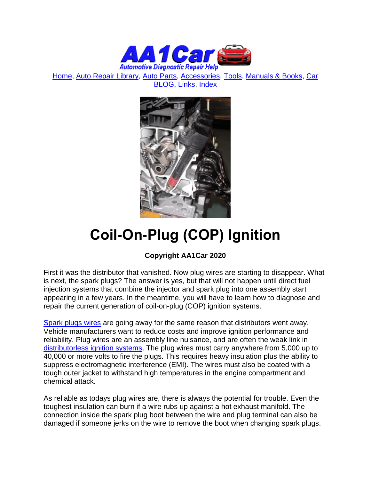

[Home,](http://www.aa1car.com/) [Auto Repair Library,](http://www.aa1car.com/library.htm) [Auto Parts,](http://www.aa1car.com/links_parts.htm) [Accessories,](http://www.aa1car.com/links_accessories.htm) [Tools,](http://www.aa1car.com/links_tools.htm) [Manuals & Books,](http://www.aa1car.com/links_books.htm) [Car](http://www.aa1car.com/blog/blog.htm)  [BLOG,](http://www.aa1car.com/blog/blog.htm) [Links,](http://www.aa1car.com/links.htm) [Index](http://www.aa1car.com/index_alphabetical.htm)



# **Coil-On-Plug (COP) Ignition**

## **Copyright AA1Car 2020**

First it was the distributor that vanished. Now plug wires are starting to disappear. What is next, the spark plugs? The answer is yes, but that will not happen until direct fuel injection systems that combine the injector and spark plug into one assembly start appearing in a few years. In the meantime, you will have to learn how to diagnose and repair the current generation of coil-on-plug (COP) ignition systems.

[Spark plugs wires](http://www.aa1car.com/library/spark_plug_wires.htm) are going away for the same reason that distributors went away. Vehicle manufacturers want to reduce costs and improve ignition performance and reliability. Plug wires are an assembly line nuisance, and are often the weak link in [distributorless ignition systems.](http://www.aa1car.com/library/dis.htm) The plug wires must carry anywhere from 5,000 up to 40,000 or more volts to fire the plugs. This requires heavy insulation plus the ability to suppress electromagnetic interference (EMI). The wires must also be coated with a tough outer jacket to withstand high temperatures in the engine compartment and chemical attack.

As reliable as todays plug wires are, there is always the potential for trouble. Even the toughest insulation can burn if a wire rubs up against a hot exhaust manifold. The connection inside the spark plug boot between the wire and plug terminal can also be damaged if someone jerks on the wire to remove the boot when changing spark plugs.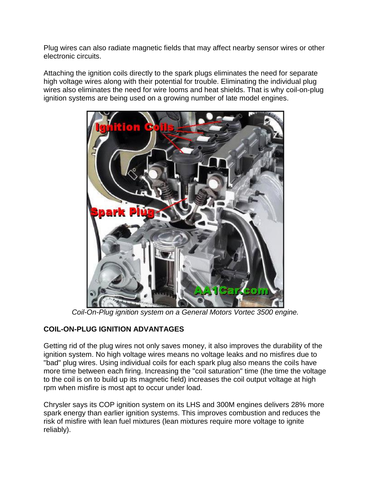Plug wires can also radiate magnetic fields that may affect nearby sensor wires or other electronic circuits.

Attaching the ignition coils directly to the spark plugs eliminates the need for separate high voltage wires along with their potential for trouble. Eliminating the individual plug wires also eliminates the need for wire looms and heat shields. That is why coil-on-plug ignition systems are being used on a growing number of late model engines.



*Coil-On-Plug ignition system on a General Motors Vortec 3500 engine.*

#### **COIL-ON-PLUG IGNITION ADVANTAGES**

Getting rid of the plug wires not only saves money, it also improves the durability of the ignition system. No high voltage wires means no voltage leaks and no misfires due to "bad" plug wires. Using individual coils for each spark plug also means the coils have more time between each firing. Increasing the "coil saturation" time (the time the voltage to the coil is on to build up its magnetic field) increases the coil output voltage at high rpm when misfire is most apt to occur under load.

Chrysler says its COP ignition system on its LHS and 300M engines delivers 28% more spark energy than earlier ignition systems. This improves combustion and reduces the risk of misfire with lean fuel mixtures (lean mixtures require more voltage to ignite reliably).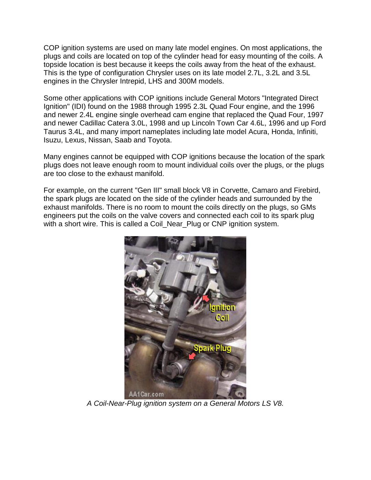COP ignition systems are used on many late model engines. On most applications, the plugs and coils are located on top of the cylinder head for easy mounting of the coils. A topside location is best because it keeps the coils away from the heat of the exhaust. This is the type of configuration Chrysler uses on its late model 2.7L, 3.2L and 3.5L engines in the Chrysler Intrepid, LHS and 300M models.

Some other applications with COP ignitions include General Motors "Integrated Direct Ignition" (IDI) found on the 1988 through 1995 2.3L Quad Four engine, and the 1996 and newer 2.4L engine single overhead cam engine that replaced the Quad Four, 1997 and newer Cadillac Catera 3.0L, 1998 and up Lincoln Town Car 4.6L, 1996 and up Ford Taurus 3.4L, and many import nameplates including late model Acura, Honda, Infiniti, Isuzu, Lexus, Nissan, Saab and Toyota.

Many engines cannot be equipped with COP ignitions because the location of the spark plugs does not leave enough room to mount individual coils over the plugs, or the plugs are too close to the exhaust manifold.

For example, on the current "Gen III" small block V8 in Corvette, Camaro and Firebird, the spark plugs are located on the side of the cylinder heads and surrounded by the exhaust manifolds. There is no room to mount the coils directly on the plugs, so GMs engineers put the coils on the valve covers and connected each coil to its spark plug with a short wire. This is called a Coil Near Plug or CNP ignition system.



*A Coil-Near-Plug ignition system on a General Motors LS V8.*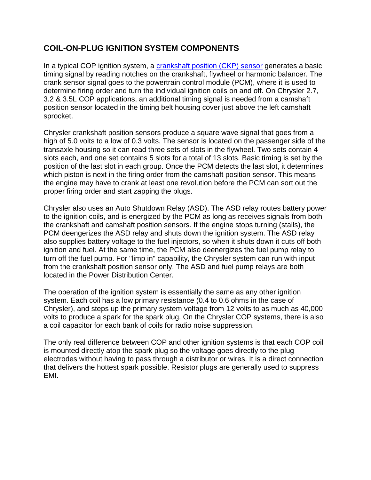# **COIL-ON-PLUG IGNITION SYSTEM COMPONENTS**

In a typical COP ignition system, a [crankshaft position \(CKP\) sensor](http://www.aa1car.com/library/crank_sensors.htm) generates a basic timing signal by reading notches on the crankshaft, flywheel or harmonic balancer. The crank sensor signal goes to the powertrain control module (PCM), where it is used to determine firing order and turn the individual ignition coils on and off. On Chrysler 2.7, 3.2 & 3.5L COP applications, an additional timing signal is needed from a camshaft position sensor located in the timing belt housing cover just above the left camshaft sprocket.

Chrysler crankshaft position sensors produce a square wave signal that goes from a high of 5.0 volts to a low of 0.3 volts. The sensor is located on the passenger side of the transaxle housing so it can read three sets of slots in the flywheel. Two sets contain 4 slots each, and one set contains 5 slots for a total of 13 slots. Basic timing is set by the position of the last slot in each group. Once the PCM detects the last slot, it determines which piston is next in the firing order from the camshaft position sensor. This means the engine may have to crank at least one revolution before the PCM can sort out the proper firing order and start zapping the plugs.

Chrysler also uses an Auto Shutdown Relay (ASD). The ASD relay routes battery power to the ignition coils, and is energized by the PCM as long as receives signals from both the crankshaft and camshaft position sensors. If the engine stops turning (stalls), the PCM deengerizes the ASD relay and shuts down the ignition system. The ASD relay also supplies battery voltage to the fuel injectors, so when it shuts down it cuts off both ignition and fuel. At the same time, the PCM also deenergizes the fuel pump relay to turn off the fuel pump. For "limp in" capability, the Chrysler system can run with input from the crankshaft position sensor only. The ASD and fuel pump relays are both located in the Power Distribution Center.

The operation of the ignition system is essentially the same as any other ignition system. Each coil has a low primary resistance (0.4 to 0.6 ohms in the case of Chrysler), and steps up the primary system voltage from 12 volts to as much as 40,000 volts to produce a spark for the spark plug. On the Chrysler COP systems, there is also a coil capacitor for each bank of coils for radio noise suppression.

The only real difference between COP and other ignition systems is that each COP coil is mounted directly atop the spark plug so the voltage goes directly to the plug electrodes without having to pass through a distributor or wires. It is a direct connection that delivers the hottest spark possible. Resistor plugs are generally used to suppress EMI.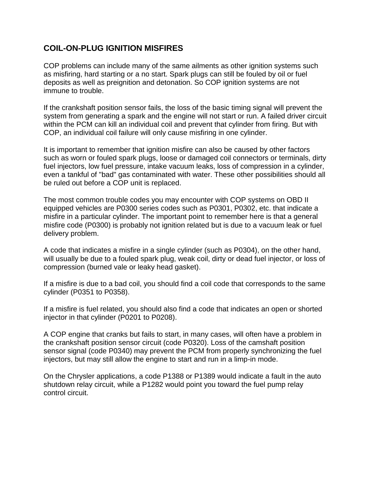## **COIL-ON-PLUG IGNITION MISFIRES**

COP problems can include many of the same ailments as other ignition systems such as misfiring, hard starting or a no start. Spark plugs can still be fouled by oil or fuel deposits as well as preignition and detonation. So COP ignition systems are not immune to trouble.

If the crankshaft position sensor fails, the loss of the basic timing signal will prevent the system from generating a spark and the engine will not start or run. A failed driver circuit within the PCM can kill an individual coil and prevent that cylinder from firing. But with COP, an individual coil failure will only cause misfiring in one cylinder.

It is important to remember that ignition misfire can also be caused by other factors such as worn or fouled spark plugs, loose or damaged coil connectors or terminals, dirty fuel injectors, low fuel pressure, intake vacuum leaks, loss of compression in a cylinder, even a tankful of "bad" gas contaminated with water. These other possibilities should all be ruled out before a COP unit is replaced.

The most common trouble codes you may encounter with COP systems on OBD II equipped vehicles are P0300 series codes such as P0301, P0302, etc. that indicate a misfire in a particular cylinder. The important point to remember here is that a general misfire code (P0300) is probably not ignition related but is due to a vacuum leak or fuel delivery problem.

A code that indicates a misfire in a single cylinder (such as P0304), on the other hand, will usually be due to a fouled spark plug, weak coil, dirty or dead fuel injector, or loss of compression (burned vale or leaky head gasket).

If a misfire is due to a bad coil, you should find a coil code that corresponds to the same cylinder (P0351 to P0358).

If a misfire is fuel related, you should also find a code that indicates an open or shorted injector in that cylinder (P0201 to P0208).

A COP engine that cranks but fails to start, in many cases, will often have a problem in the crankshaft position sensor circuit (code P0320). Loss of the camshaft position sensor signal (code P0340) may prevent the PCM from properly synchronizing the fuel injectors, but may still allow the engine to start and run in a limp-in mode.

On the Chrysler applications, a code P1388 or P1389 would indicate a fault in the auto shutdown relay circuit, while a P1282 would point you toward the fuel pump relay control circuit.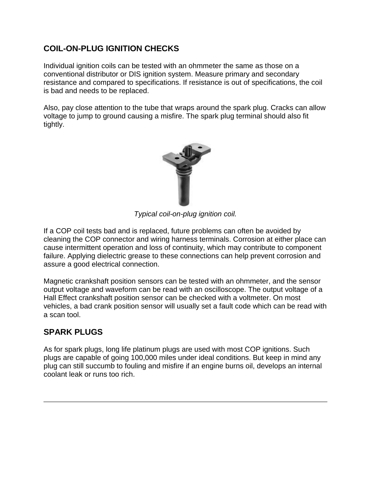# **COIL-ON-PLUG IGNITION CHECKS**

Individual ignition coils can be tested with an ohmmeter the same as those on a conventional distributor or DIS ignition system. Measure primary and secondary resistance and compared to specifications. If resistance is out of specifications, the coil is bad and needs to be replaced.

Also, pay close attention to the tube that wraps around the spark plug. Cracks can allow voltage to jump to ground causing a misfire. The spark plug terminal should also fit tightly.



*Typical coil-on-plug ignition coil.*

If a COP coil tests bad and is replaced, future problems can often be avoided by cleaning the COP connector and wiring harness terminals. Corrosion at either place can cause intermittent operation and loss of continuity, which may contribute to component failure. Applying dielectric grease to these connections can help prevent corrosion and assure a good electrical connection.

Magnetic crankshaft position sensors can be tested with an ohmmeter, and the sensor output voltage and waveform can be read with an oscilloscope. The output voltage of a Hall Effect crankshaft position sensor can be checked with a voltmeter. On most vehicles, a bad crank position sensor will usually set a fault code which can be read with a scan tool.

## **SPARK PLUGS**

As for spark plugs, long life platinum plugs are used with most COP ignitions. Such plugs are capable of going 100,000 miles under ideal conditions. But keep in mind any plug can still succumb to fouling and misfire if an engine burns oil, develops an internal coolant leak or runs too rich.